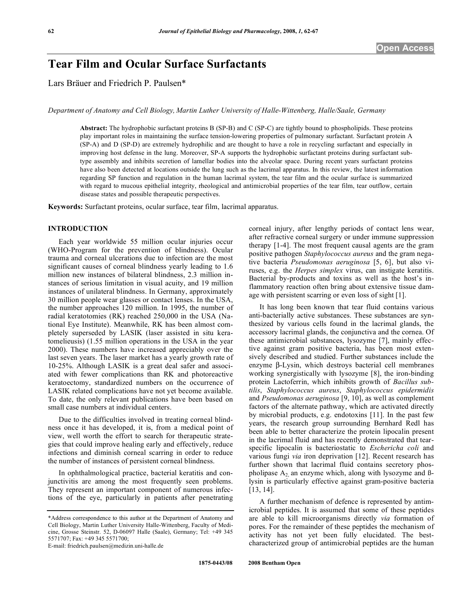# **Tear Film and Ocular Surface Surfactants**

Lars Bräuer and Friedrich P. Paulsen\*

*Department of Anatomy and Cell Biology, Martin Luther University of Halle-Wittenberg, Halle/Saale, Germany*

**Abstract:** The hydrophobic surfactant proteins B (SP-B) and C (SP-C) are tightly bound to phospholipids. These proteins play important roles in maintaining the surface tension-lowering properties of pulmonary surfactant. Surfactant protein A (SP-A) and D (SP-D) are extremely hydrophilic and are thought to have a role in recycling surfactant and especially in improving host defense in the lung. Moreover, SP-A supports the hydrophobic surfactant proteins during surfactant subtype assembly and inhibits secretion of lamellar bodies into the alveolar space. During recent years surfactant proteins have also been detected at locations outside the lung such as the lacrimal apparatus. In this review, the latest information regarding SP function and regulation in the human lacrimal system, the tear film and the ocular surface is summarized with regard to mucous epithelial integrity, rheological and antimicrobial properties of the tear film, tear outflow, certain disease states and possible therapeutic perspectives.

**Keywords:** Surfactant proteins, ocular surface, tear film, lacrimal apparatus.

#### **INTRODUCTION**

 Each year worldwide 55 million ocular injuries occur (WHO-Program for the prevention of blindness). Ocular trauma and corneal ulcerations due to infection are the most significant causes of corneal blindness yearly leading to 1.6 million new instances of bilateral blindness, 2.3 million instances of serious limitation in visual acuity, and 19 million instances of unilateral blindness. In Germany, approximately 30 million people wear glasses or contact lenses. In the USA, the number approaches 120 million. In 1995, the number of radial keratotomies (RK) reached 250,000 in the USA (National Eye Institute). Meanwhile, RK has been almost completely superseded by LASIK (laser assisted in situ keratomelieusis) (1.55 million operations in the USA in the year 2000). These numbers have increased appreciably over the last seven years. The laser market has a yearly growth rate of 10-25%. Although LASIK is a great deal safer and associated with fewer complications than RK and photoreactive keratoectomy, standardized numbers on the occurrence of LASIK related complications have not yet become available. To date, the only relevant publications have been based on small case numbers at individual centers.

 Due to the difficulties involved in treating corneal blindness once it has developed, it is, from a medical point of view, well worth the effort to search for therapeutic strategies that could improve healing early and effectively, reduce infections and diminish corneal scarring in order to reduce the number of instances of persistent corneal blindness.

 In ophthalmological practice, bacterial keratitis and conjunctivitis are among the most frequently seen problems. They represent an important component of numerous infections of the eye, particularly in patients after penetrating

E-mail: friedrich.paulsen@medizin.uni-halle.de

corneal injury, after lengthy periods of contact lens wear, after refractive corneal surgery or under immune suppression therapy [1-4]. The most frequent causal agents are the gram positive pathogen *Staphylococcus aureus* and the gram negative bacteria *Pseudomonas aeruginosa* [5, 6], but also viruses, e.g. the *Herpes simplex* virus, can instigate keratitis. Bacterial by-products and toxins as well as the host's inflammatory reaction often bring about extensive tissue damage with persistent scarring or even loss of sight [1].

 It has long been known that tear fluid contains various anti-bacterially active substances. These substances are synthesized by various cells found in the lacrimal glands, the accessory lacrimal glands, the conjunctiva and the cornea. Of these antimicrobial substances, lysozyme [7], mainly effective against gram positive bacteria, has been most extensively described and studied. Further substances include the enzyme  $\beta$ -Lysin, which destroys bacterial cell membranes working synergistically with lysozyme [8], the iron-binding protein Lactoferrin, which inhibits growth of *Bacillus subtilis*, *Staphylococcus aureus*, *Staphylococcus epidermidis* and *Pseudomonas aeruginosa* [9, 10], as well as complement factors of the alternate pathway, which are activated directly by microbial products, e.g. endotoxins [11]. In the past few years, the research group surrounding Bernhard Redl has been able to better characterize the protein lipocalin present in the lacrimal fluid and has recently demonstrated that tearspecific lipocalin is bacteriostatic to *Eschericha coli* and various fungi *via* iron deprivation [12]. Recent research has further shown that lacrimal fluid contains secretory phospholipase  $A_2$  an enzyme which, along with lysozyme and  $\beta$ lysin is particularly effective against gram-positive bacteria [13, 14].

 A further mechanism of defence is represented by antimicrobial peptides. It is assumed that some of these peptides are able to kill microorganisms directly *via* formation of pores. For the remainder of these peptides the mechanism of activity has not yet been fully elucidated. The bestcharacterized group of antimicrobial peptides are the human

<sup>\*</sup>Address correspondence to this author at the Department of Anatomy and Cell Biology, Martin Luther University Halle-Wittenberg, Faculty of Medicine, Grosse Steinstr. 52, D-06097 Halle (Saale), Germany; Tel: +49 345 5571707; Fax: +49 345 5571700;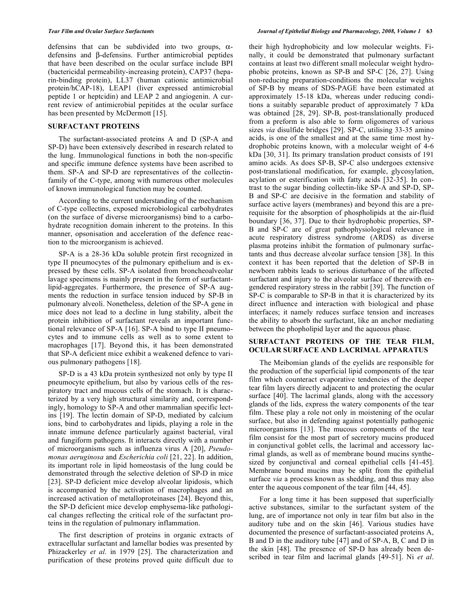defensins that can be subdivided into two groups,  $\alpha$ defensins and  $\beta$ -defensins. Further antimicrobial peptides that have been described on the ocular surface include BPI (bactericidal permeability-increasing protein), CAP37 (heparin-binding protein), LL37 (human cationic antimicrobial protein/hCAP-18), LEAP1 (liver expressed antimicrobial peptide 1 or heptcidin) and LEAP 2 and angiogenin. A current review of antimicrobial pepitides at the ocular surface has been presented by McDermott [15].

## **SURFACTANT PROTEINS**

 The surfactant-associated proteins A and D (SP-A and SP-D) have been extensively described in research related to the lung. Immunological functions in both the non-specific and specific immune defence systems have been ascribed to them. SP-A and SP-D are representatives of the collectinfamily of the C-type, among with numerous other molecules of known immunological function may be counted.

 According to the current understanding of the mechanism of C-type collectins, exposed microbiological carbohydrates (on the surface of diverse microorganisms) bind to a carbohydrate recognition domain inherent to the proteins. In this manner, opsonisation and acceleration of the defence reaction to the microorganism is achieved.

 SP-A is a 28-36 kDa soluble protein first recognized in type II pneumocytes of the pulmonary epithelium and is expressed by these cells. SP-A isolated from broncheoalveolar lavage specimens is mainly present in the form of surfactantlipid-aggregates. Furthermore, the presence of SP-A augments the reduction in surface tension induced by SP-B in pulmonary alveoli. Nonetheless, deletion of the SP-A gene in mice does not lead to a decline in lung stability, albeit the protein inhibition of surfactant reveals an important functional relevance of SP-A [16]. SP-A bind to type II pneumocytes and to immune cells as well as to some extent to macrophages [17]. Beyond this, it has been demonstrated that SP-A deficient mice exhibit a weakened defence to various pulmonary pathogens [18].

 SP-D is a 43 kDa protein synthesized not only by type II pneumocyte epithelium, but also by various cells of the respiratory tract and mucous cells of the stomach. It is characterized by a very high structural similarity and, correspondingly, homology to SP-A and other mammalian specific lectins [19]. The lectin domain of SP-D, mediated by calcium ions, bind to carbohydrates and lipids, playing a role in the innate immune defence particularly against bacterial, viral and fungiform pathogens. It interacts directly with a number of microorganisms such as influenza virus A [20], *Pseudomonas aeruginosa* and *Escherichia coli* [21, 22]. In addition, its important role in lipid homeostasis of the lung could be demonstrated through the selective deletion of SP-D in mice [23]. SP-D deficient mice develop alveolar lipidosis, which is accompanied by the activation of macrophages and an increased activation of metalloproteinases [24]. Beyond this, the SP-D deficient mice develop emphysema-like pathological changes reflecting the critical role of the surfactant proteins in the regulation of pulmonary inflammation.

 The first description of proteins in organic extracts of extracellular surfactant and lamellar bodies was presented by Phizackerley *et al*. in 1979 [25]. The characterization and purification of these proteins proved quite difficult due to

their high hydrophobicity and low molecular weights. Finally, it could be demonstrated that pulmonary surfactant contains at least two different small molecular weight hydrophobic proteins, known as SP-B and SP-C [26, 27]. Using non-reducing preparation-conditions the molecular weights of SP-B by means of SDS-PAGE have been estimated at approximately 15-18 kDa, whereas under reducing conditions a suitably separable product of approximately 7 kDa was obtained [28, 29]. SP-B, post-translationally produced from a preform is also able to form oligomeres of various sizes *via* disulfide bridges [29]. SP-C, utilising 33-35 amino acids, is one of the smallest and at the same time most hydrophobic proteins known, with a molecular weight of 4-6 kDa [30, 31]. Its primary translation product consists of 191 amino acids. As does SP-B, SP-C also undergoes extensive post-translational modification, for example, glycosylation, acylation or esterification with fatty acids [32-35]. In contrast to the sugar binding collectin-like SP-A and SP-D, SP-B and SP-C are decisive in the formation and stability of surface active layers (membranes) and beyond this are a prerequisite for the absorption of phospholipids at the air-fluid boundary [36, 37]. Due to their hydrophobic properties, SP-B and SP-C are of great pathophysiological relevance in acute respiratory distress syndrome (ARDS) as diverse plasma proteins inhibit the formation of pulmonary surfactants and thus decrease alveolar surface tension [38]. In this context it has been reported that the deletion of SP-B in newborn rabbits leads to serious disturbance of the affected surfactant and injury to the alveolar surface of therewith engendered respiratory stress in the rabbit [39]. The function of SP-C is comparable to SP-B in that it is characterized by its direct influence and interaction with biological and phase interfaces; it namely reduces surface tension and increases the ability to absorb the surfactant, like an anchor mediating between the phopholipid layer and the aqueous phase.

## **SURFACTANT PROTEINS OF THE TEAR FILM, OCULAR SURFACE AND LACRIMAL APPARATUS**

 The Meibomian glands of the eyelids are responsible for the production of the superficial lipid components of the tear film which counteract evaporative tendencies of the deeper tear film layers directly adjacent to and protecting the ocular surface [40]. The lacrimal glands, along with the accessory glands of the lids, express the watery components of the tear film. These play a role not only in moistening of the ocular surface, but also in defending against potentially pathogenic microorganisms [13]. The mucous components of the tear film consist for the most part of secretory mucins produced in conjunctival goblet cells, the lacrimal and accessory lacrimal glands, as well as of membrane bound mucins synthesized by conjunctival and corneal epithelial cells [41-45]. Membrane bound mucins may be split from the epithelial surface *via* a process known as shedding, and thus may also enter the aqueous component of the tear film [44, 45].

 For a long time it has been supposed that superficially active substances, similar to the surfactant system of the lung, are of importance not only in tear film but also in the auditory tube and on the skin [46]. Various studies have documented the presence of surfactant-associated proteins A, B and D in the auditory tube [47] and of SP-A, B, C and D in the skin [48]. The presence of SP-D has already been described in tear film and lacrimal glands [49-51]. Ni *et al*.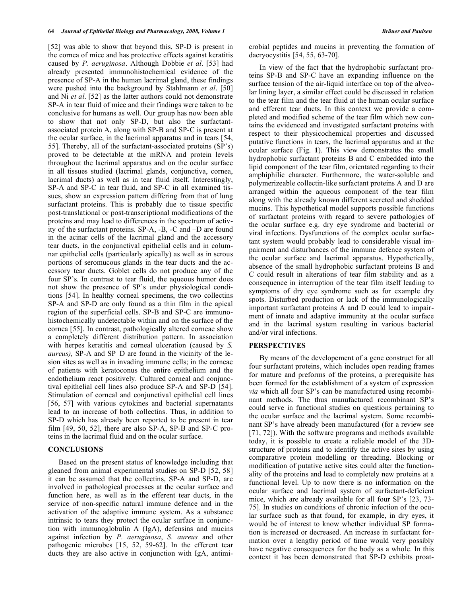[52] was able to show that beyond this, SP-D is present in the cornea of mice and has protective effects against keratitis caused by *P. aeruginosa*. Although Dobbie *et al*. [53] had already presented immunohistochemical evidence of the presence of SP-A in the human lacrimal gland, these findings were pushed into the background by Stahlmann *et al*. [50] and Ni *et al*. [52] as the latter authors could not demonstrate SP-A in tear fluid of mice and their findings were taken to be conclusive for humans as well. Our group has now been able to show that not only SP-D, but also the surfactantassociated protein A, along with SP-B and SP-C is present at the ocular surface, in the lacrimal apparatus and in tears [54, 55]. Thereby, all of the surfactant-associated proteins (SP's) proved to be detectable at the mRNA and protein levels throughout the lacrimal apparatus and on the ocular surface in all tissues studied (lacrimal glands, conjunctiva, cornea, lacrimal ducts) as well as in tear fluid itself. Interestingly, SP-A and SP-C in tear fluid, and SP-C in all examined tissues, show an expression pattern differing from that of lung surfactant proteins. This is probably due to tissue specific post-translational or post-transcriptional modifications of the proteins and may lead to differences in the spectrum of activity of the surfactant proteins. SP-A, -B, -C and –D are found in the acinar cells of the lacrimal gland and the accessory tear ducts, in the conjunctival epithelial cells and in columnar epithelial cells (particularly apically) as well as in serous portions of seromucous glands in the tear ducts and the accessory tear ducts. Goblet cells do not produce any of the four SP's. In contrast to tear fluid, the aqueous humor does not show the presence of SP's under physiological conditions [54]. In healthy corneal specimens, the two collectins SP-A and SP-D are only found as a thin film in the apical region of the superficial cells. SP-B and SP-C are immunohistochemically undetectable within and on the surface of the cornea [55]. In contrast, pathologically altered corneae show a completely different distribution pattern. In association with herpes keratitis and corneal ulceration (caused by *S. aureus),* SP-A and SP–D are found in the vicinity of the lesion sites as well as in invading immune cells; in the corneae of patients with keratoconus the entire epithelium and the endothelium react positively. Cultured corneal and conjunctival epithelial cell lines also produce SP-A and SP-D [54]. Stimulation of corneal and conjunctival epithelial cell lines [56, 57] with various cytokines and bacterial supernatants lead to an increase of both collectins. Thus, in addition to SP-D which has already been reported to be present in tear film [49, 50, 52], there are also SP-A, SP-B and SP-C proteins in the lacrimal fluid and on the ocular surface.

### **CONCLUSIONS**

 Based on the present status of knowledge including that gleaned from animal experimental studies on SP-D [52, 58] it can be assumed that the collectins, SP-A and SP-D, are involved in pathological processes at the ocular surface and function here, as well as in the efferent tear ducts, in the service of non-specific natural immune defence and in the activation of the adaptive immune system. As a substance intrinsic to tears they protect the ocular surface in conjunction with immunoglobulin A (IgA), defensins and mucins against infection by *P. aeruginosa*, *S. aureus* and other pathogenic microbes [15, 52, 59-62]. In the efferent tear ducts they are also active in conjunction with IgA, antimicrobial peptides and mucins in preventing the formation of dacryocystitis [54, 55, 63-70].

 In view of the fact that the hydrophobic surfactant proteins SP-B and SP-C have an expanding influence on the surface tension of the air-liquid interface on top of the alveolar lining layer, a similar effect could be discussed in relation to the tear film and the tear fluid at the human ocular surface and efferent tear ducts. In this context we provide a completed and modified scheme of the tear film which now contains the evidenced and investigated surfactant proteins with respect to their physicochemical properties and discussed putative functions in tears, the lacrimal apparatus and at the ocular surface (Fig. **1**). This view demonstrates the small hydrophobic surfactant proteins B and C embedded into the lipid component of the tear film, orientated regarding to their amphiphilic character. Furthermore, the water-soluble and polymerizeable collectin-like surfactant proteins A and D are arranged within the aqueous component of the tear film along with the already known different secreted and shedded mucins. This hypothetical model supports possible functions of surfactant proteins with regard to severe pathologies of the ocular surface e.g. dry eye syndrome and bacterial or viral infections. Dysfunctions of the complex ocular surfactant system would probably lead to considerable visual impairment and disturbances of the immune defence system of the ocular surface and lacrimal apparatus. Hypothetically, absence of the small hydrophobic surfactant proteins B and C could result in alterations of tear film stability and as a consequence in interruption of the tear film itself leading to symptoms of dry eye syndrome such as for example dry spots. Disturbed production or lack of the immunologically important surfactant proteins A and D could lead to impairment of innate and adaptive immunity at the ocular surface and in the lacrimal system resulting in various bacterial and/or viral infections.

#### **PERSPECTIVES**

 By means of the developement of a gene construct for all four surfactant proteins, which includes open reading frames for mature and preforms of the proteins, a prerequisite has been formed for the establishment of a system of expression *via* which all four SP's can be manufactured using recombinant methods. The thus manufactured recombinant SP's could serve in functional studies on questions pertaining to the ocular surface and the lacrimal system. Some recombinant SP's have already been manufactured (for a review see [71, 72]). With the software programs and methods available today, it is possible to create a reliable model of the 3Dstructure of proteins and to identify the active sites by using comparative protein modelling or threading. Blocking or modification of putative active sites could alter the functionality of the proteins and lead to completely new proteins at a functional level. Up to now there is no information on the ocular surface and lacrimal system of surfactant-deficient mice, which are already available for all four SP's [23, 73- 75]. In studies on conditions of chronic infection of the ocular surface such as that found, for example, in dry eyes, it would be of interest to know whether individual SP formation is increased or decreased. An increase in surfactant formation over a lengthy period of time would very possibly have negative consequences for the body as a whole. In this context it has been demonstrated that SP-D exhibits proat-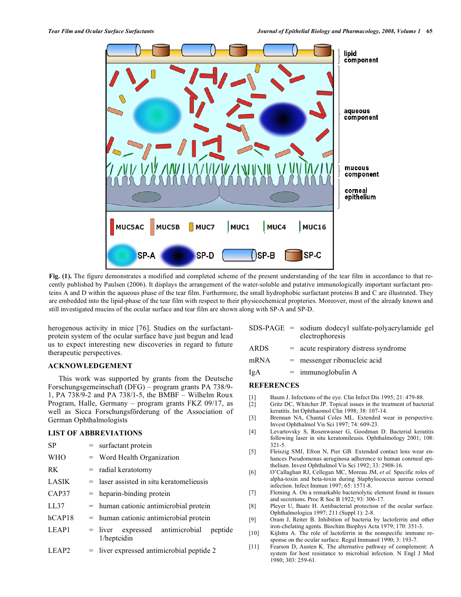

**Fig. (1).** The figure demonstrates a modified and completed scheme of the present understanding of the tear film in accordance to that recently published by Paulsen (2006). It displays the arrangement of the water-soluble and putative immunologically important surfactant proteins A and D within the aqueous phase of the tear film. Furthermore, the small hydrophobic surfactant proteins B and C are illustrated. They are embedded into the lipid-phase of the tear film with respect to their physicochemical propteries. Moreover, most of the already known and still investigated mucins of the ocular surface and tear film are shown along with SP-A and SP-D.

herogenous activity in mice [76]. Studies on the surfactantprotein system of the ocular surface have just begun and lead us to expect interesting new discoveries in regard to future therapeutic perspectives.

#### **ACKNOWLEDGEMENT**

 This work was supported by grants from the Deutsche Forschungsgemeinschaft (DFG) – program grants PA 738/9- 1, PA 738/9-2 and PA 738/1-5, the BMBF – Wilhelm Roux Program, Halle, Germany – program grants FKZ 09/17, as well as Sicca Forschungsförderung of the Association of German Ophthalmologists

## **LIST OF ABBREVIATIONS**

| <b>SP</b>         | = surfactant protein                                        |
|-------------------|-------------------------------------------------------------|
| <b>WHO</b>        | $=$ Word Health Organization                                |
| RK.               | $=$ radial keratotomy                                       |
| LASIK             | $=$ laser assisted in situ keratomelieusis                  |
| CAP37             | $=$ heparin-binding protein                                 |
| LL37              | $=$ human cationic antimicrobial protein                    |
| hCAP18            | $=$ human cationic antimicrobial protein                    |
| LEAP1             | $=$ liver expressed antimicrobial<br>peptide<br>1/heptcidin |
| LEAP <sub>2</sub> | $=$ liver expressed antimicrobial peptide 2                 |

| $SDS-PAGE = sodium dodecyl sulfate-polyacrylamide gel$ |  |
|--------------------------------------------------------|--|
| electrophoresis                                        |  |

- ARDS = acute respiratory distress syndrome
- mRNA = messenger ribonucleic acid
- $IgA$  = immunoglobulin A

# **REFERENCES**

- [1] Baum J. Infections of the eye. Clin Infect Dis 1995; 21: 479-88.
- [2] Gritz DC, Whitcher JP. Topical issues in the treatment of bacterial
- keratitis. Int Ophthaomol Clin 1998; 38: 107-14. [3] Brennan NA, Chantal Coles ML. Extended wear in perspective. Invest Ophthalmol Vis Sci 1997; 74: 609-23.
- [4] Levartovsky S, Rosenwasser G, Goodman D. Bacterial keratitis following laser in situ keratomileusis. Ophthalmology 2001; 108: 321-5.
- [5] Fleiszig SMJ, Efron N, Pier GB. Extended contact lens wear enhances Pseudomonas aeruginosa adherence to human conrneal epithelium. Invest Ophthalmol Vis Sci 1992; 33: 2908-16.
- [6] O'Callaghan RJ, Cellegan MC, Moreau JM, *et al.* Specific roles of alpha-toxin and beta-toxin during Staphylococcus aureus corneal infection. Infect Immun 1997; 65: 1571-8.
- [7] Fleming A. On a remarkable bacteriolytic element found in tissues and secretions. Proc R Soc B 1922; 93: 306-17.
- [8] Pleyer U, Baatz H. Antibacterial protection of the ocular surface. Ophthalmologica 1997; 211 (Suppl 1): 2-8.
- [9] Oram J, Reiter B. Inhibition of bacteria by lactoferrin and other iron-chelating agents. Biochim Biophys Acta 1979; 170: 351-3.
- [10] Kijlstra A. The role of lactoferrin in the nonspecific immune response on the ocular surface. Regul Immunol 1990; 3: 193-7.
- [11] Fearson D, Austen K. The alternative pathway of complement: A system for host resistance to microbial infection. N Engl J Med 1980; 303: 259-61.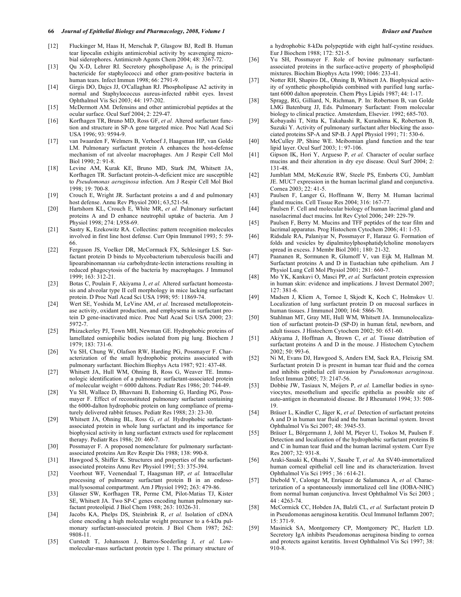- [12] Fluckinger M, Haas H, Merschak P, Glasgow BJ, Redl B. Human tear lipocalin exhigits antimicrobial activity by scavenging microbial siderophores. Antimicrob Agents Chem 2004; 48: 3367-72.
- [13] Qu X-D, Lehrer RI. Secretory phospholipase  $A_2$  is the principal bactericide for staphylococci and other gram-positive bacteria in human tears. Infect Immun 1998; 66: 2791-9.
- [14] Girgis DO, Dajcs JJ, O'Callaghan RJ. Phospholipase A2 activity in normal and Staphylococcus aureus-infected rabbit eyes. Invest Ophthalmol Vis Sci 2003; 44: 197-202.
- [15] McDermott AM. Defensins and other antimicrobial peptides at the ocular surface. Ocul Surf 2004; 2: 229-47.
- [16] Korfhagen TR, Bruno MD, Ross GF, *et al.* Altered surfactant function and structure in SP-A gene targeted mice. Proc Natl Acad Sci USA 1996; 93: 9594-9.
- [17] van Iwaarden F, Welmers B, Verhoef J, Haagsman HP, van Golde LM. Pulmonary surfactant protein A enhances the host-defense mechanism of rat alveolar macrophages. Am J Respir Cell Mol Biol 1990; 2: 91-8.
- [18] Levine AM, Kurak KE, Bruno MD, Stark JM, Whitsett JA, Korfhagen TR. Surfactant protein-A-deficient mice are susceptible to *Pseudomonas aeruginosa* infection. Am J Respir Cell Mol Biol 1998; 19: 700-8.
- [19] Crouch E, Wright JR. Surfactant proteins a and d and pulmonary host defense. Annu Rev Physiol 2001; 63,521-54.
- [20] Hartshorn KL, Crouch E, White MR, *et al.* Pulmonary surfactant proteins A and D enhance neutrophil uptake of bacteria. Am J Physiol 1998; 274: L958-69.
- [21] Sastry K, Ezekowitz RA. Collectins: pattern recognition molecules involved in first line host defense. Curr Opin Immunol 1993; 5: 59- 66.
- [22] Ferguson JS, Voelker DR, McCormack FX, Schlesinger LS. Surfactant protein D binds to Mycobacterium tuberculosis bacilli and lipoarabinomannan *via* carbohydrate-lectin interactions resulting in reduced phagocytosis of the bacteria by macrophages. J Immunol 1999; 163: 312-21.
- [23] Botas C, Poulain F, Akiyama J, *et al.* Altered surfactant homeostasis and alveolar type II cell morphology in mice lacking surfactant protein. D Proc Natl Acad Sci USA 1998; 95: 11869-74.
- [24] Wert SE, Yoshida M, LeVine AM, *et al.* Increased metalloproteinase activity, oxidant production, and emphysema in surfactant protein D gene-inactivated mice. Proc Natl Acad Sci USA 2000; 23: 5972-7.
- [25] Phizackerley PJ, Town MH, Newman GE. Hydrophobic proteins of lamellated osmiophilic bodies isolated from pig lung. Biochem J 1979; 183: 731-6.
- [26] Yu SH, Chung W, Olafson RW, Harding PG, Possmayer F. Characterization of the small hydrophobic proteins associated with pulmonary surfactant. Biochim Biophys Acta 1987; 921: 437-48.
- [27] Whitsett JA, Hull WM, Ohning B, Ross G, Weaver TE. Immunologic identification of a pulmonary surfactant-associated protein of molecular weight = 6000 daltons. Pediatr Res 1986; 20: 744-49.
- [28] Yu SH, Wallace D, Bhavnani B, Enhorning G, Harding PG, Possmayer F. Effect of reconstituted pulmonary surfactant containing the 6000-dalton hydrophobic protein on lung compliance of prematurely delivered rabbit fetuses. Pediatr Res 1988; 23: 23-30.
- [29] Whitsett JA, Ohning BL, Ross G, *et al.* Hydrophobic surfactantassociated protein in whole lung surfactant and its importance for biophysical activity in lung surfactant extracts used for replacement therapy. Pediatr Res 1986; 20: 460-7.
- [30] Possmayer F. A proposed nomenclature for pulmonary surfactantassociated proteins Am Rev Respir Dis 1988; 138: 990-8.
- [31] Hawgood S, Shiffer K. Structures and properties of the surfactantassociated proteins Annu Rev Physiol 1991; 53: 375-394.
- [32] Voorhout WF, Veenendaal T, Haagsman HP, *et al.* Intracellular processing of pulmonary surfactant protein B in an endosomal/lysosomal compartment. Am J Physiol 1992; 263: 479-86.
- [33] Glasser SW, Korfhagen TR, Perme CM, Pilot-Matias TJ, Kister SE, Whitsett JA. Two SP-C genes encoding human pulmonary surfactant proteolipid. J Biol Chem 1988; 263: 10326-31.
- [34] Jacobs KA, Phelps DS, Steinbrink R, *et al.* Isolation of cDNA clone encoding a high molecular weight precursor to a 6-kDa pulmonary surfactant-associated protein. J Biol Chem 1987; 262: 9808-11.
- [35] Curstedt T, Johansson J, Barros-Soederling J, *et al.* Lowmolecular-mass surfactant protein type 1. The primary structure of

a hydrophobic 8-kDa polypeptide with eight half-cystine residues. Eur J Biochem 1988; 172: 521-5.

- [36] Yu SH, Possmayer F. Role of bovine pulmonary surfactantassociated proteins in the surface-active property of phospholipid mixtures. Biochim Biophys Acta 1990; 1046: 233-41.
- [37] Notter RH, Shapiro DL, Ohning B, Whitsett JA. Biophysical activity of synthetic phospholipids combined with purified lung surfactant 6000 dalton apoprotein. Chem Phys Lipids 1987; 44: 1-17.
- [38] Spragg, RG, Gilliard, N, Richman, P. In: Robertson B, van Golde LMG Batenburg JJ, Eds. Pulmonary Surfactant: From molecular biology to clinical practice. Amsterdam, Elsevier. 1992; 685-703.
- [39] Kobayashi T, Nitta K, Takahashi R, Kurashima K, Robertson B, Suzuki Y. Activity of pulmonary surfactant after blocking the associated proteins SP-A and SP-B. J Appl Physiol 1991; 71: 530-6.
- [40] McCulley JP, Shine WE. Meibomian gland function and the tear lipid layer. Ocul Surf 2003; 1: 97-106.
- [41] Gipson IK, Hori Y, Argueso P, *et al.* Character of ocular surface mucins and their alteration in dry eye disease. Ocul Surf 2004; 2: 131-48.
- [42] Jumblatt MM, McKenzie RW, Steele PS, Emberts CG, Jumblatt JE. MUC7 expression in the human lacrimal gland and conjunctiva. Cornea 2003; 22: 41-5.
- [43] Paulsen F, Langer G, Hoffmann W, Berry M. Human lacrimal gland mucins. Cell Tissue Res 2004; 316: 167-77.
- [44] Paulsen F. Cell and molecular biology of human lacrimal gland and nasolacrimal duct mucins. Int Rev Cytol 2006; 249: 229-79.
- [45] Paulsen F, Berry M. Mucins and TFF peptides of the tear film and lacrimal apparatus. Prog Histochem Cytochem 2006; 41: 1-53.
- [46] Ridsdale RA, Palaniyar N, Possmayer F, Harauz G. Formation of folds and vesicles by dipalmitoylphosphatidylcholine monolayers spread in excess. J Membr Biol 2001; 180: 21-32.
- [47] Paananen R, Sormunen R, Glumoff V, van Eijk M, Hallman M. Surfactant proteins A and D in Eustachian tube epithelium. Am J Physiol Lung Cell Mol Physiol 2001; 281: 660-7.
- [48] Mo YK, Kankavi O, Masci PP, *et al.* Surfactant protein expression in human skin: evidence and implications. J Invest Dermatol 2007; 127: 381-6.
- [49] Madsen J, Kliem A, Tornoe I, Skjodt K, Koch C, Holmskov U. Localization of lung surfactant protein D on mucosal surfaces in human tissues. J Immunol 2000; 164: 5866-70.
- [50] Stahlman MT, Gray ME, Hull WM, Whitsett JA. Immunolocalization of surfactant protein-D (SP-D) in human fetal, newborn, and adult tissues. J Histochem Cytochem 2002; 50: 651-60.
- [51] Akiyama J, Hoffman A, Brown C, *et al.* Tissue distribution of surfactant proteins A and D in the mouse. J Histochem Cytochem 2002; 50: 993-6.
- [52] Ni M, Evans DJ, Hawgood S, Anders EM, Sack RA, Fleiszig SM. Surfactant protein D is present in human tear fluid and the cornea and inhibits epithelial cell invasion by *Pseudomonas aeruginosa*. Infect Immun 2005; 73: 2147-56.
- [53] Dobbie JW, Tasiaux N, Meijers P, *et al.* Lamellar bodies in synoviocytes, mesothelium and specific epithelia as possible site of auto-antigen in rheumatoid disease. Br J Rheumatol 1994; 33: 508- 19.
- [54] Bräuer L, Kindler C, Jäger K, *et al.* Detection of surfactant proteins A and D in human tear fluid and the human lacrimal system. Invest Ophthalmol Vis Sci 2007; 48: 3945-53.
- [55] Bräuer L, Börgermann J, Johl M, Pleyer U, Tsokos M, Paulsen F. Detection and localization of the hydrophobic surfactant proteins B and C in human tear fluid and the human lacrimal system. Curr Eye Res 2007; 32: 931-8.
- [56] Araki-Sasaki K, Ohashi Y, Sasabe T, *et al.* An SV40-immortalized human corneal epithelial cell line and its characterization. Invest Ophthalmol Vis Sci 1995 ; 36 : 614-21.
- [57] Diebold Y, Calonge M, Enriquez de Salamanca A, *et al.* Characterization of a spontaneously immortalized cell line (IOBA-NHC) from normal human conjunctiva. Invest Ophthalmol Vis Sci 2003 ; 44 : 4263-74.
- [58] McCormick CC, Hobden JA, Balzli CL, *et al.* Surfactant protein D in Pseudomonas aeruginosa keratitis. Ocul Immunol Inflamm 2007; 15: 371-9.
- [59] Masinick SA, Montgomery CP, Montgomery PC, Hazlett LD. Secretory IgA inhibits Pseudomonas aeruginosa binding to cornea and protects against keratitis. Invest Ophthalmol Vis Sci 1997; 38: 910-8.